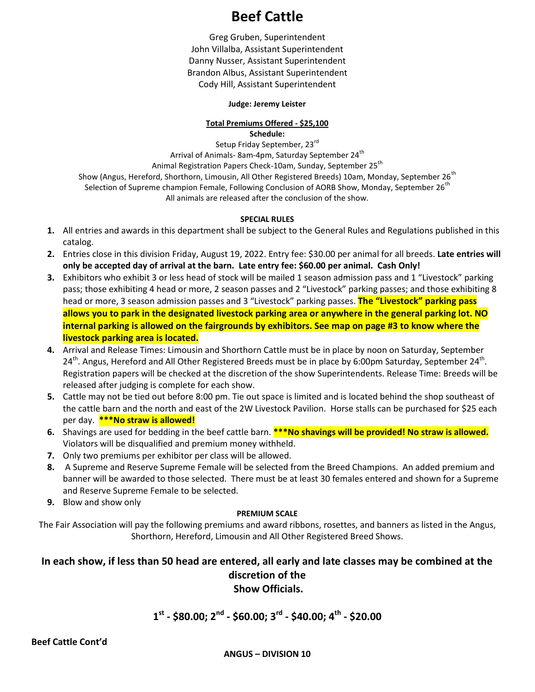# **Beef Cattle**

Greg Gruben, Superintendent John Villalba, Assistant Superintendent Danny Nusser, Assistant Superintendent Brandon Albus, Assistant Superintendent Cody Hill, Assistant Superintendent

#### **Judge: Jeremy Leister**

#### **Total Premiums Offered - \$25,100 Schedule:**

Setup Friday September, 23rd Arrival of Animals- 8am-4pm, Saturday September 24<sup>th</sup> Animal Registration Papers Check-10am, Sunday, September 25<sup>th</sup> Show (Angus, Hereford, Shorthorn, Limousin, All Other Registered Breeds) 10am, Monday, September 26<sup>th</sup> Selection of Supreme champion Female, Following Conclusion of AORB Show, Monday, September 26<sup>th</sup> All animals are released after the conclusion of the show.

#### **SPECIAL RULES**

- **1.** All entries and awards in this department shall be subject to the General Rules and Regulations published in this catalog.
- **2.** Entries close in this division Friday, August 19, 2022. Entry fee: \$30.00 per animal for all breeds. **Late entries will only be accepted day of arrival at the barn. Late entry fee: \$60.00 per animal. Cash Only!**
- **3.** Exhibitors who exhibit 3 or less head of stock will be mailed 1 season admission pass and 1 "Livestock" parking pass; those exhibiting 4 head or more, 2 season passes and 2 "Livestock" parking passes; and those exhibiting 8 head or more, 3 season admission passes and 3 "Livestock" parking passes. **The "Livestock" parking pass allows you to park in the designated livestock parking area or anywhere in the general parking lot. NO internal parking is allowed on the fairgrounds by exhibitors. See map on page #3 to know where the livestock parking area is located.**
- **4.** Arrival and Release Times: Limousin and Shorthorn Cattle must be in place by noon on Saturday, September 24<sup>th</sup>. Angus, Hereford and All Other Registered Breeds must be in place by 6:00pm Saturday, September 24<sup>th</sup>. Registration papers will be checked at the discretion of the show Superintendents. Release Time: Breeds will be released after judging is complete for each show.
- **5.** Cattle may not be tied out before 8:00 pm. Tie out space is limited and is located behind the shop southeast of the cattle barn and the north and east of the 2W Livestock Pavilion. Horse stalls can be purchased for \$25 each per day. **\*\*\*No straw is allowed!**
- 6. Shavings are used for bedding in the beef cattle barn. **\*\*\*No shavings will be provided! No straw is allowed.** Violators will be disqualified and premium money withheld.
- **7.** Only two premiums per exhibitor per class will be allowed.
- **8.** A Supreme and Reserve Supreme Female will be selected from the Breed Champions. An added premium and banner will be awarded to those selected. There must be at least 30 females entered and shown for a Supreme and Reserve Supreme Female to be selected.
- **9.** Blow and show only

#### **PREMIUM SCALE**

The Fair Association will pay the following premiums and award ribbons, rosettes, and banners as listed in the Angus, Shorthorn, Hereford, Limousin and All Other Registered Breed Shows.

### **In each show, if less than 50 head are entered, all early and late classes may be combined at the discretion of the Show Officials.**

# **1 st - \$80.00; 2nd - \$60.00; 3rd - \$40.00; 4th - \$20.00**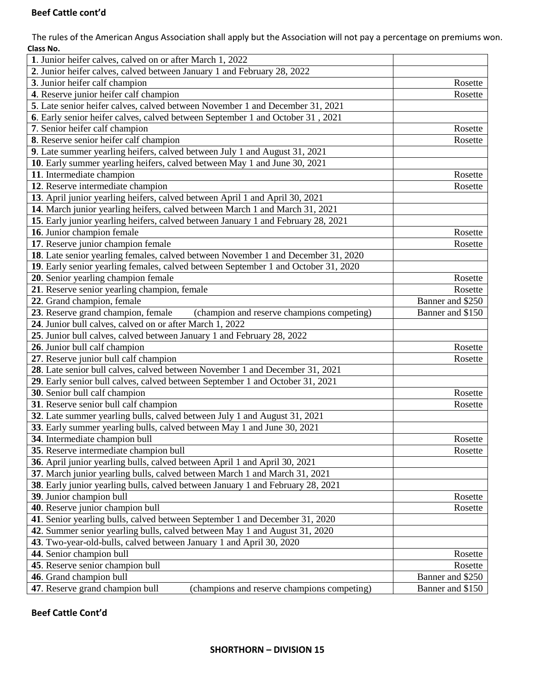#### **Beef Cattle cont'd**

The rules of the American Angus Association shall apply but the Association will not pay a percentage on premiums won. **Class No.** 

| 1. Junior heifer calves, calved on or after March 1, 2022                          |                  |
|------------------------------------------------------------------------------------|------------------|
| 2. Junior heifer calves, calved between January 1 and February 28, 2022            |                  |
| 3. Junior heifer calf champion                                                     | Rosette          |
| 4. Reserve junior heifer calf champion                                             | Rosette          |
| 5. Late senior heifer calves, calved between November 1 and December 31, 2021      |                  |
| 6. Early senior heifer calves, calved between September 1 and October 31, 2021     |                  |
| 7. Senior heifer calf champion                                                     | Rosette          |
| 8. Reserve senior heifer calf champion                                             | Rosette          |
| 9. Late summer yearling heifers, calved between July 1 and August 31, 2021         |                  |
| 10. Early summer yearling heifers, calved between May 1 and June 30, 2021          |                  |
| 11. Intermediate champion                                                          | Rosette          |
| 12. Reserve intermediate champion                                                  | Rosette          |
| 13. April junior yearling heifers, calved between April 1 and April 30, 2021       |                  |
| 14. March junior yearling heifers, calved between March 1 and March 31, 2021       |                  |
| 15. Early junior yearling heifers, calved between January 1 and February 28, 2021  |                  |
| 16. Junior champion female                                                         | Rosette          |
| 17. Reserve junior champion female                                                 | Rosette          |
| 18. Late senior yearling females, calved between November 1 and December 31, 2020  |                  |
| 19. Early senior yearling females, calved between September 1 and October 31, 2020 |                  |
| 20. Senior yearling champion female                                                | Rosette          |
| 21. Reserve senior yearling champion, female                                       | Rosette          |
| 22. Grand champion, female                                                         | Banner and \$250 |
| 23. Reserve grand champion, female<br>(champion and reserve champions competing)   | Banner and \$150 |
| 24. Junior bull calves, calved on or after March 1, 2022                           |                  |
| 25. Junior bull calves, calved between January 1 and February 28, 2022             |                  |
| 26. Junior bull calf champion                                                      | Rosette          |
| 27. Reserve junior bull calf champion                                              | Rosette          |
| 28. Late senior bull calves, calved between November 1 and December 31, 2021       |                  |
| 29. Early senior bull calves, calved between September 1 and October 31, 2021      |                  |
| 30. Senior bull calf champion                                                      | Rosette          |
| 31. Reserve senior bull calf champion                                              | Rosette          |
| 32. Late summer yearling bulls, calved between July 1 and August 31, 2021          |                  |
| 33. Early summer yearling bulls, calved between May 1 and June 30, 2021            |                  |
| 34. Intermediate champion bull                                                     | Rosette          |
| 35. Reserve intermediate champion bull                                             | Rosette          |
| 36. April junior yearling bulls, calved between April 1 and April 30, 2021         |                  |
| 37. March junior yearling bulls, calved between March 1 and March 31, 2021         |                  |
| 38. Early junior yearling bulls, calved between January 1 and February 28, 2021    |                  |
| 39. Junior champion bull                                                           | Rosette          |
| 40. Reserve junior champion bull                                                   |                  |
|                                                                                    | Rosette          |
| 41. Senior yearling bulls, calved between September 1 and December 31, 2020        |                  |
| 42. Summer senior yearling bulls, calved between May 1 and August 31, 2020         |                  |
| 43. Two-year-old-bulls, calved between January 1 and April 30, 2020                |                  |
| 44. Senior champion bull                                                           | Rosette          |
| 45. Reserve senior champion bull                                                   | Rosette          |
| 46. Grand champion bull                                                            | Banner and \$250 |
| 47. Reserve grand champion bull<br>(champions and reserve champions competing)     | Banner and \$150 |

**Beef Cattle Cont'd**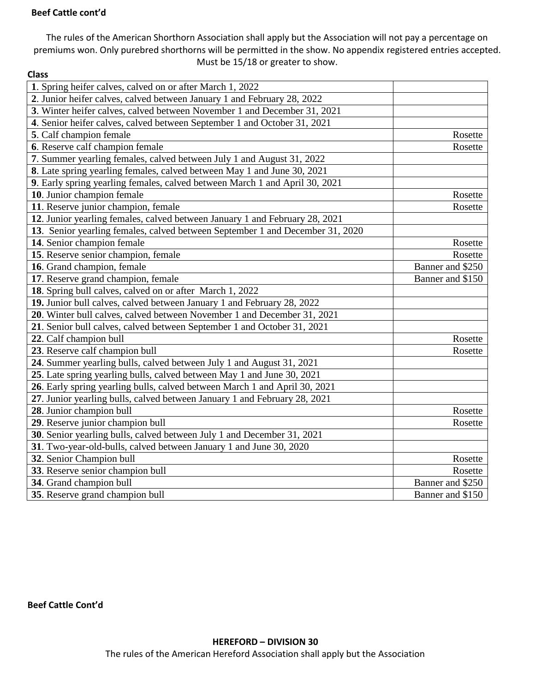#### **Beef Cattle cont'd**

The rules of the American Shorthorn Association shall apply but the Association will not pay a percentage on premiums won. Only purebred shorthorns will be permitted in the show. No appendix registered entries accepted. Must be 15/18 or greater to show.

| <b>Class</b>                                                                  |                  |
|-------------------------------------------------------------------------------|------------------|
| 1. Spring heifer calves, calved on or after March 1, 2022                     |                  |
| 2. Junior heifer calves, calved between January 1 and February 28, 2022       |                  |
| 3. Winter heifer calves, calved between November 1 and December 31, 2021      |                  |
| 4. Senior heifer calves, calved between September 1 and October 31, 2021      |                  |
| 5. Calf champion female                                                       | Rosette          |
| 6. Reserve calf champion female                                               | Rosette          |
| 7. Summer yearling females, calved between July 1 and August 31, 2022         |                  |
| 8. Late spring yearling females, calved between May 1 and June 30, 2021       |                  |
| 9. Early spring yearling females, calved between March 1 and April 30, 2021   |                  |
| 10. Junior champion female                                                    | Rosette          |
| 11. Reserve junior champion, female                                           | Rosette          |
| 12. Junior yearling females, calved between January 1 and February 28, 2021   |                  |
| 13. Senior yearling females, calved between September 1 and December 31, 2020 |                  |
| 14. Senior champion female                                                    | Rosette          |
| 15. Reserve senior champion, female                                           | Rosette          |
| 16. Grand champion, female                                                    | Banner and \$250 |
| 17. Reserve grand champion, female                                            | Banner and \$150 |
| 18. Spring bull calves, calved on or after March 1, 2022                      |                  |
| 19. Junior bull calves, calved between January 1 and February 28, 2022        |                  |
| 20. Winter bull calves, calved between November 1 and December 31, 2021       |                  |
| 21. Senior bull calves, calved between September 1 and October 31, 2021       |                  |
| 22. Calf champion bull                                                        | Rosette          |
| 23. Reserve calf champion bull                                                | Rosette          |
| 24. Summer yearling bulls, calved between July 1 and August 31, 2021          |                  |
| 25. Late spring yearling bulls, calved between May 1 and June 30, 2021        |                  |
| 26. Early spring yearling bulls, calved between March 1 and April 30, 2021    |                  |
| 27. Junior yearling bulls, calved between January 1 and February 28, 2021     |                  |
| 28. Junior champion bull                                                      | Rosette          |
| 29. Reserve junior champion bull                                              | Rosette          |
| 30. Senior yearling bulls, calved between July 1 and December 31, 2021        |                  |
| 31. Two-year-old-bulls, calved between January 1 and June 30, 2020            |                  |
| 32. Senior Champion bull                                                      | Rosette          |
| 33. Reserve senior champion bull                                              | Rosette          |
| 34. Grand champion bull                                                       | Banner and \$250 |
| 35. Reserve grand champion bull                                               | Banner and \$150 |

**Beef Cattle Cont'd**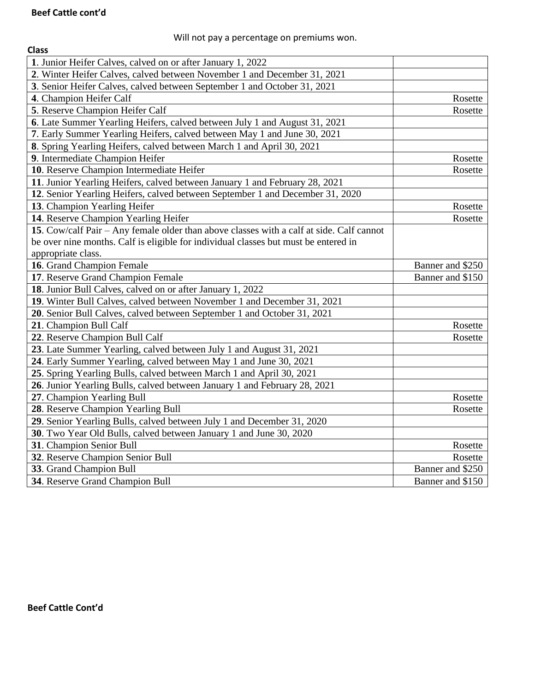# Will not pay a percentage on premiums won.

| <b>Class</b>                                                                             |                  |
|------------------------------------------------------------------------------------------|------------------|
| 1. Junior Heifer Calves, calved on or after January 1, 2022                              |                  |
| 2. Winter Heifer Calves, calved between November 1 and December 31, 2021                 |                  |
| 3. Senior Heifer Calves, calved between September 1 and October 31, 2021                 |                  |
| 4. Champion Heifer Calf                                                                  | Rosette          |
| 5. Reserve Champion Heifer Calf                                                          | Rosette          |
| 6. Late Summer Yearling Heifers, calved between July 1 and August 31, 2021               |                  |
| 7. Early Summer Yearling Heifers, calved between May 1 and June 30, 2021                 |                  |
| 8. Spring Yearling Heifers, calved between March 1 and April 30, 2021                    |                  |
| 9. Intermediate Champion Heifer                                                          | Rosette          |
| 10. Reserve Champion Intermediate Heifer                                                 | Rosette          |
| 11. Junior Yearling Heifers, calved between January 1 and February 28, 2021              |                  |
| 12. Senior Yearling Heifers, calved between September 1 and December 31, 2020            |                  |
| 13. Champion Yearling Heifer                                                             | Rosette          |
| 14. Reserve Champion Yearling Heifer                                                     | Rosette          |
| 15. Cow/calf Pair - Any female older than above classes with a calf at side. Calf cannot |                  |
| be over nine months. Calf is eligible for individual classes but must be entered in      |                  |
| appropriate class.                                                                       |                  |
| 16. Grand Champion Female                                                                | Banner and \$250 |
| 17. Reserve Grand Champion Female                                                        | Banner and \$150 |
| 18. Junior Bull Calves, calved on or after January 1, 2022                               |                  |
| 19. Winter Bull Calves, calved between November 1 and December 31, 2021                  |                  |
| 20. Senior Bull Calves, calved between September 1 and October 31, 2021                  |                  |
| 21. Champion Bull Calf                                                                   | Rosette          |
| 22. Reserve Champion Bull Calf                                                           | Rosette          |
| 23. Late Summer Yearling, calved between July 1 and August 31, 2021                      |                  |
| 24. Early Summer Yearling, calved between May 1 and June 30, 2021                        |                  |
| 25. Spring Yearling Bulls, calved between March 1 and April 30, 2021                     |                  |
| 26. Junior Yearling Bulls, calved between January 1 and February 28, 2021                |                  |
| 27. Champion Yearling Bull                                                               | Rosette          |
| 28. Reserve Champion Yearling Bull                                                       | Rosette          |
| 29. Senior Yearling Bulls, calved between July 1 and December 31, 2020                   |                  |
| 30. Two Year Old Bulls, calved between January 1 and June 30, 2020                       |                  |
| 31. Champion Senior Bull                                                                 | Rosette          |
| 32. Reserve Champion Senior Bull                                                         | Rosette          |
| 33. Grand Champion Bull                                                                  | Banner and \$250 |
| 34. Reserve Grand Champion Bull                                                          | Banner and \$150 |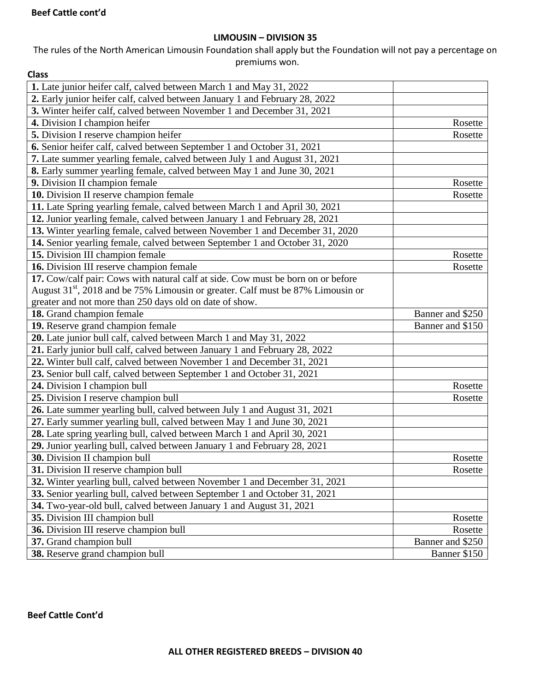#### **LIMOUSIN – DIVISION 35**

#### The rules of the North American Limousin Foundation shall apply but the Foundation will not pay a percentage on premiums won.

| <b>Class</b>                                                                      |                  |
|-----------------------------------------------------------------------------------|------------------|
| 1. Late junior heifer calf, calved between March 1 and May 31, 2022               |                  |
| 2. Early junior heifer calf, calved between January 1 and February 28, 2022       |                  |
| 3. Winter heifer calf, calved between November 1 and December 31, 2021            |                  |
| 4. Division I champion heifer                                                     | Rosette          |
| 5. Division I reserve champion heifer                                             | Rosette          |
| 6. Senior heifer calf, calved between September 1 and October 31, 2021            |                  |
| 7. Late summer yearling female, calved between July 1 and August 31, 2021         |                  |
| 8. Early summer yearling female, calved between May 1 and June 30, 2021           |                  |
| 9. Division II champion female                                                    | Rosette          |
| 10. Division II reserve champion female                                           | Rosette          |
| 11. Late Spring yearling female, calved between March 1 and April 30, 2021        |                  |
| 12. Junior yearling female, calved between January 1 and February 28, 2021        |                  |
| 13. Winter yearling female, calved between November 1 and December 31, 2020       |                  |
| 14. Senior yearling female, calved between September 1 and October 31, 2020       |                  |
| 15. Division III champion female                                                  | Rosette          |
| 16. Division III reserve champion female                                          | Rosette          |
| 17. Cow/calf pair: Cows with natural calf at side. Cow must be born on or before  |                  |
| August $31st$ , 2018 and be 75% Limousin or greater. Calf must be 87% Limousin or |                  |
| greater and not more than 250 days old on date of show.                           |                  |
| 18. Grand champion female                                                         | Banner and \$250 |
| 19. Reserve grand champion female                                                 | Banner and \$150 |
| 20. Late junior bull calf, calved between March 1 and May 31, 2022                |                  |
| 21. Early junior bull calf, calved between January 1 and February 28, 2022        |                  |
| 22. Winter bull calf, calved between November 1 and December 31, 2021             |                  |
| 23. Senior bull calf, calved between September 1 and October 31, 2021             |                  |
| 24. Division I champion bull                                                      | Rosette          |
| 25. Division I reserve champion bull                                              | Rosette          |
| 26. Late summer yearling bull, calved between July 1 and August 31, 2021          |                  |
| 27. Early summer yearling bull, calved between May 1 and June 30, 2021            |                  |
| 28. Late spring yearling bull, calved between March 1 and April 30, 2021          |                  |
| 29. Junior yearling bull, calved between January 1 and February 28, 2021          |                  |
| 30. Division II champion bull                                                     | Rosette          |
| 31. Division II reserve champion bull                                             | Rosette          |
| 32. Winter yearling bull, calved between November 1 and December 31, 2021         |                  |
| 33. Senior yearling bull, calved between September 1 and October 31, 2021         |                  |
| 34. Two-year-old bull, calved between January 1 and August 31, 2021               |                  |
| 35. Division III champion bull                                                    | Rosette          |
| 36. Division III reserve champion bull                                            | Rosette          |
| 37. Grand champion bull                                                           | Banner and \$250 |
| 38. Reserve grand champion bull                                                   | Banner \$150     |

**Beef Cattle Cont'd**